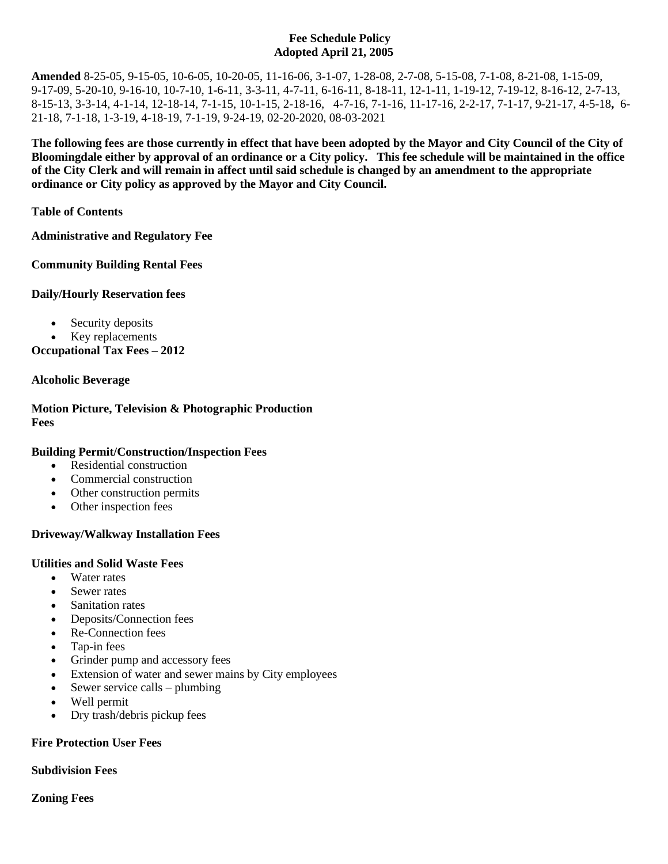#### **Fee Schedule Policy Adopted April 21, 2005**

**Amended** 8-25-05, 9-15-05, 10-6-05, 10-20-05, 11-16-06, 3-1-07, 1-28-08, 2-7-08, 5-15-08, 7-1-08, 8-21-08, 1-15-09, 9-17-09, 5-20-10, 9-16-10, 10-7-10, 1-6-11, 3-3-11, 4-7-11, 6-16-11, 8-18-11, 12-1-11, 1-19-12, 7-19-12, 8-16-12, 2-7-13, 8-15-13, 3-3-14, 4-1-14, 12-18-14, 7-1-15, 10-1-15, 2-18-16, 4-7-16, 7-1-16, 11-17-16, 2-2-17, 7-1-17, 9-21-17, 4-5-18**,** 6- 21-18, 7-1-18, 1-3-19, 4-18-19, 7-1-19, 9-24-19, 02-20-2020, 08-03-2021

**The following fees are those currently in effect that have been adopted by the Mayor and City Council of the City of Bloomingdale either by approval of an ordinance or a City policy. This fee schedule will be maintained in the office of the City Clerk and will remain in affect until said schedule is changed by an amendment to the appropriate ordinance or City policy as approved by the Mayor and City Council.**

**Table of Contents**

**Administrative and Regulatory Fee**

**Community Building Rental Fees**

**Daily/Hourly Reservation fees**

- Security deposits
- Key replacements

**Occupational Tax Fees – 2012**

#### **Alcoholic Beverage**

**Motion Picture, Television & Photographic Production Fees** 

#### **Building Permit/Construction/Inspection Fees**

- Residential construction
- Commercial construction
- Other construction permits
- Other inspection fees

#### **Driveway/Walkway Installation Fees**

#### **Utilities and Solid Waste Fees**

- Water rates
- Sewer rates
- Sanitation rates
- Deposits/Connection fees
- Re-Connection fees
- Tap-in fees
- Grinder pump and accessory fees
- Extension of water and sewer mains by City employees
- Sewer service calls plumbing
- Well permit
- Dry trash/debris pickup fees

#### **Fire Protection User Fees**

#### **Subdivision Fees**

#### **Zoning Fees**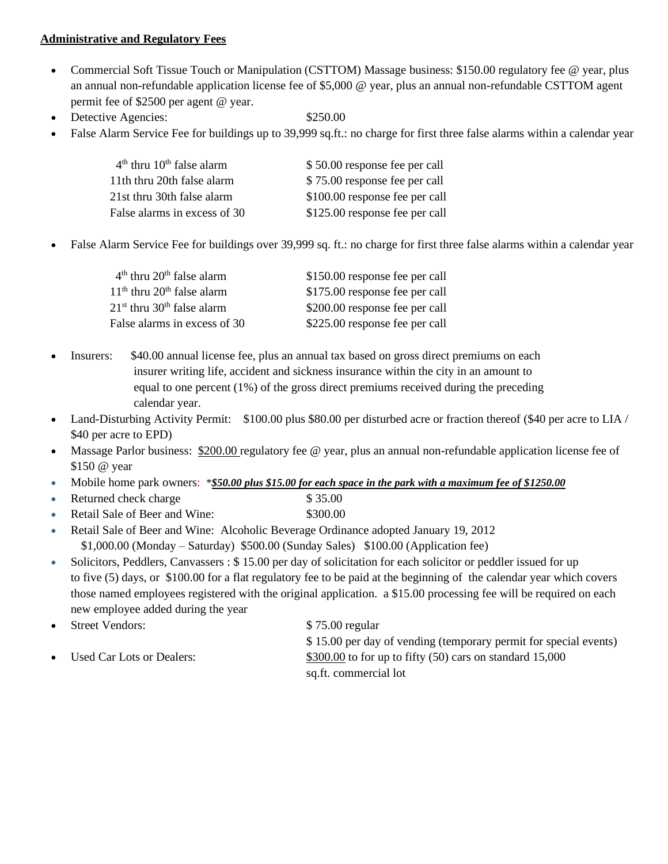#### **Administrative and Regulatory Fees**

- Commercial Soft Tissue Touch or Manipulation (CSTTOM) Massage business: \$150.00 regulatory fee @ year, plus an annual non-refundable application license fee of \$5,000 @ year, plus an annual non-refundable CSTTOM agent permit fee of \$2500 per agent @ year.
- Detective Agencies:  $$250.00$
- 
- False Alarm Service Fee for buildings up to 39,999 sq.ft.: no charge for first three false alarms within a calendar year

| \$50.00 response fee per call  |
|--------------------------------|
| \$75.00 response fee per call  |
| \$100.00 response fee per call |
| \$125.00 response fee per call |
|                                |

• False Alarm Service Fee for buildings over 39,999 sq. ft.: no charge for first three false alarms within a calendar year

| $4th$ thru $20th$ false alarm            | \$150.00 response fee per call |
|------------------------------------------|--------------------------------|
| $11th$ thru 20 <sup>th</sup> false alarm | \$175.00 response fee per call |
| $21st$ thru 30 <sup>th</sup> false alarm | \$200.00 response fee per call |
| False alarms in excess of 30             | \$225.00 response fee per call |

- Insurers: \$40.00 annual license fee, plus an annual tax based on gross direct premiums on each insurer writing life, accident and sickness insurance within the city in an amount to equal to one percent (1%) of the gross direct premiums received during the preceding calendar year.
- Land-Disturbing Activity Permit: \$100.00 plus \$80.00 per disturbed acre or fraction thereof (\$40 per acre to LIA / \$40 per acre to EPD)
- Massage Parlor business: \$200.00 regulatory fee @ year, plus an annual non-refundable application license fee of \$150 @ year
- Mobile home park owners: \**\$50.00 plus \$15.00 for each space in the park with a maximum fee of \$1250.00*
- Returned check charge \$ 35.00
- Retail Sale of Beer and Wine: \$300.00
- Retail Sale of Beer and Wine: Alcoholic Beverage Ordinance adopted January 19, 2012 \$1,000.00 (Monday – Saturday) \$500.00 (Sunday Sales) \$100.00 (Application fee)
- Solicitors, Peddlers, Canvassers : \$15.00 per day of solicitation for each solicitor or peddler issued for up to five (5) days, or \$100.00 for a flat regulatory fee to be paid at the beginning of the calendar year which covers those named employees registered with the original application. a \$15.00 processing fee will be required on each new employee added during the year
- Street Vendors: \$ 75.00 regular
- 

 \$ 15.00 per day of vending (temporary permit for special events) Used Car Lots or Dealers:  $$300.00$  to for up to fifty (50) cars on standard 15,000 sq.ft. commercial lot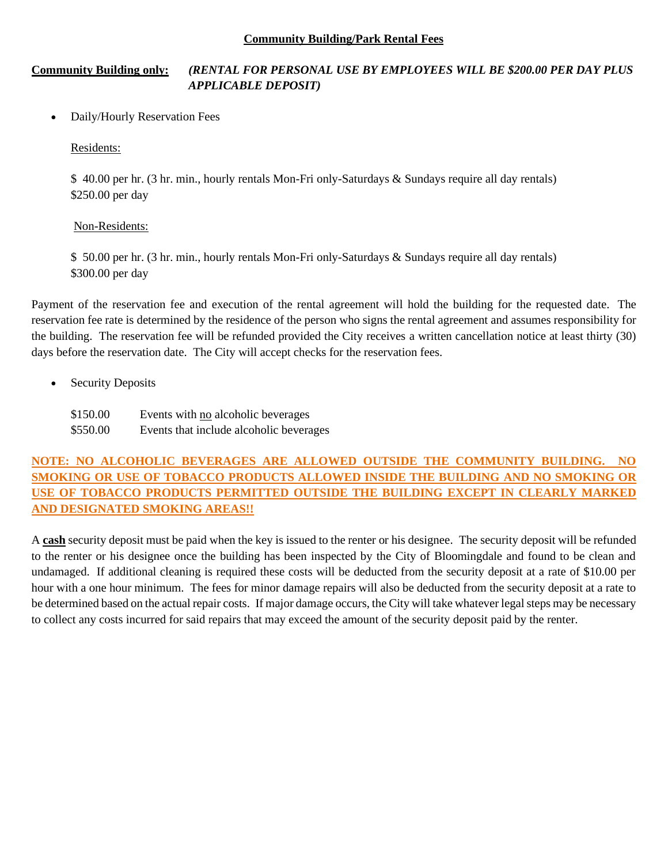#### **Community Building/Park Rental Fees**

### **Community Building only:** *(RENTAL FOR PERSONAL USE BY EMPLOYEES WILL BE \$200.00 PER DAY PLUS APPLICABLE DEPOSIT)*

• Daily/Hourly Reservation Fees

Residents:

\$ 40.00 per hr. (3 hr. min., hourly rentals Mon-Fri only-Saturdays & Sundays require all day rentals) \$250.00 per day

#### Non-Residents:

\$ 50.00 per hr. (3 hr. min., hourly rentals Mon-Fri only-Saturdays & Sundays require all day rentals) \$300.00 per day

Payment of the reservation fee and execution of the rental agreement will hold the building for the requested date. The reservation fee rate is determined by the residence of the person who signs the rental agreement and assumes responsibility for the building. The reservation fee will be refunded provided the City receives a written cancellation notice at least thirty (30) days before the reservation date. The City will accept checks for the reservation fees.

• Security Deposits

\$150.00 Events with <u>no</u> alcoholic beverages \$550.00 Events that include alcoholic beverages

# **NOTE: NO ALCOHOLIC BEVERAGES ARE ALLOWED OUTSIDE THE COMMUNITY BUILDING. NO SMOKING OR USE OF TOBACCO PRODUCTS ALLOWED INSIDE THE BUILDING AND NO SMOKING OR USE OF TOBACCO PRODUCTS PERMITTED OUTSIDE THE BUILDING EXCEPT IN CLEARLY MARKED AND DESIGNATED SMOKING AREAS!!**

A **cash** security deposit must be paid when the key is issued to the renter or his designee. The security deposit will be refunded to the renter or his designee once the building has been inspected by the City of Bloomingdale and found to be clean and undamaged. If additional cleaning is required these costs will be deducted from the security deposit at a rate of \$10.00 per hour with a one hour minimum. The fees for minor damage repairs will also be deducted from the security deposit at a rate to be determined based on the actual repair costs. If major damage occurs, the City will take whatever legal steps may be necessary to collect any costs incurred for said repairs that may exceed the amount of the security deposit paid by the renter.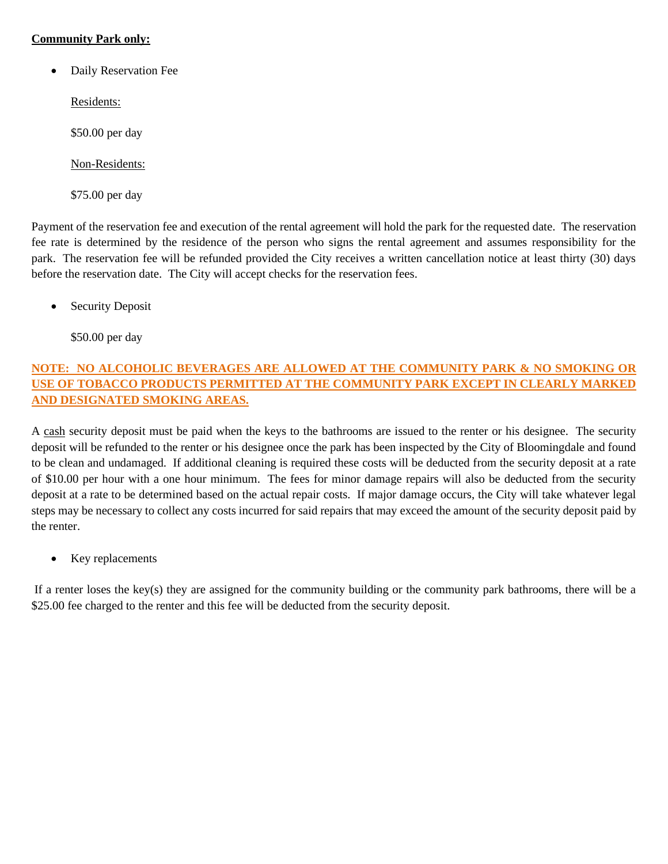### **Community Park only:**

• Daily Reservation Fee

Residents:

\$50.00 per day

Non-Residents:

\$75.00 per day

Payment of the reservation fee and execution of the rental agreement will hold the park for the requested date. The reservation fee rate is determined by the residence of the person who signs the rental agreement and assumes responsibility for the park. The reservation fee will be refunded provided the City receives a written cancellation notice at least thirty (30) days before the reservation date. The City will accept checks for the reservation fees.

• Security Deposit

\$50.00 per day

# **NOTE: NO ALCOHOLIC BEVERAGES ARE ALLOWED AT THE COMMUNITY PARK & NO SMOKING OR USE OF TOBACCO PRODUCTS PERMITTED AT THE COMMUNITY PARK EXCEPT IN CLEARLY MARKED AND DESIGNATED SMOKING AREAS.**

A cash security deposit must be paid when the keys to the bathrooms are issued to the renter or his designee. The security deposit will be refunded to the renter or his designee once the park has been inspected by the City of Bloomingdale and found to be clean and undamaged. If additional cleaning is required these costs will be deducted from the security deposit at a rate of \$10.00 per hour with a one hour minimum. The fees for minor damage repairs will also be deducted from the security deposit at a rate to be determined based on the actual repair costs. If major damage occurs, the City will take whatever legal steps may be necessary to collect any costs incurred for said repairs that may exceed the amount of the security deposit paid by the renter.

• Key replacements

If a renter loses the key(s) they are assigned for the community building or the community park bathrooms, there will be a \$25.00 fee charged to the renter and this fee will be deducted from the security deposit.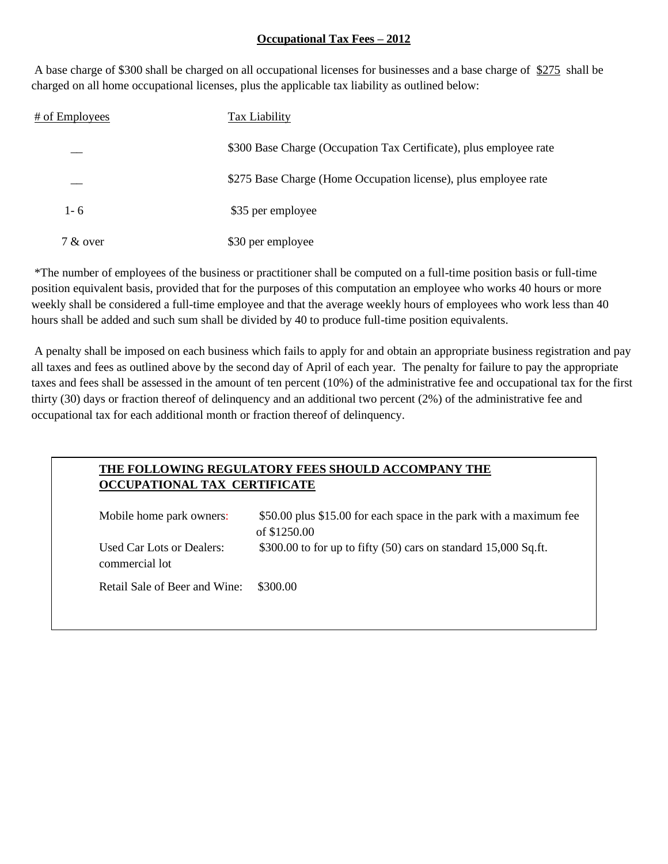#### **Occupational Tax Fees – 2012**

A base charge of \$300 shall be charged on all occupational licenses for businesses and a base charge of \$275 shall be charged on all home occupational licenses, plus the applicable tax liability as outlined below:

| # of Employees | Tax Liability                                                      |
|----------------|--------------------------------------------------------------------|
|                | \$300 Base Charge (Occupation Tax Certificate), plus employee rate |
|                | \$275 Base Charge (Home Occupation license), plus employee rate    |
| $1 - 6$        | \$35 per employee                                                  |
| 7 & over       | \$30 per employee                                                  |

\*The number of employees of the business or practitioner shall be computed on a full-time position basis or full-time position equivalent basis, provided that for the purposes of this computation an employee who works 40 hours or more weekly shall be considered a full-time employee and that the average weekly hours of employees who work less than 40 hours shall be added and such sum shall be divided by 40 to produce full-time position equivalents.

A penalty shall be imposed on each business which fails to apply for and obtain an appropriate business registration and pay all taxes and fees as outlined above by the second day of April of each year. The penalty for failure to pay the appropriate taxes and fees shall be assessed in the amount of ten percent (10%) of the administrative fee and occupational tax for the first thirty (30) days or fraction thereof of delinquency and an additional two percent (2%) of the administrative fee and occupational tax for each additional month or fraction thereof of delinquency.

# **THE FOLLOWING REGULATORY FEES SHOULD ACCOMPANY THE OCCUPATIONAL TAX CERTIFICATE**

| Mobile home park owners:                    | \$50.00 plus \$15.00 for each space in the park with a maximum fee<br>of \$1250.00 |
|---------------------------------------------|------------------------------------------------------------------------------------|
| Used Car Lots or Dealers:<br>commercial lot | \$300.00 to for up to fifty $(50)$ cars on standard 15,000 Sq.ft.                  |
| Retail Sale of Beer and Wine:               | \$300.00                                                                           |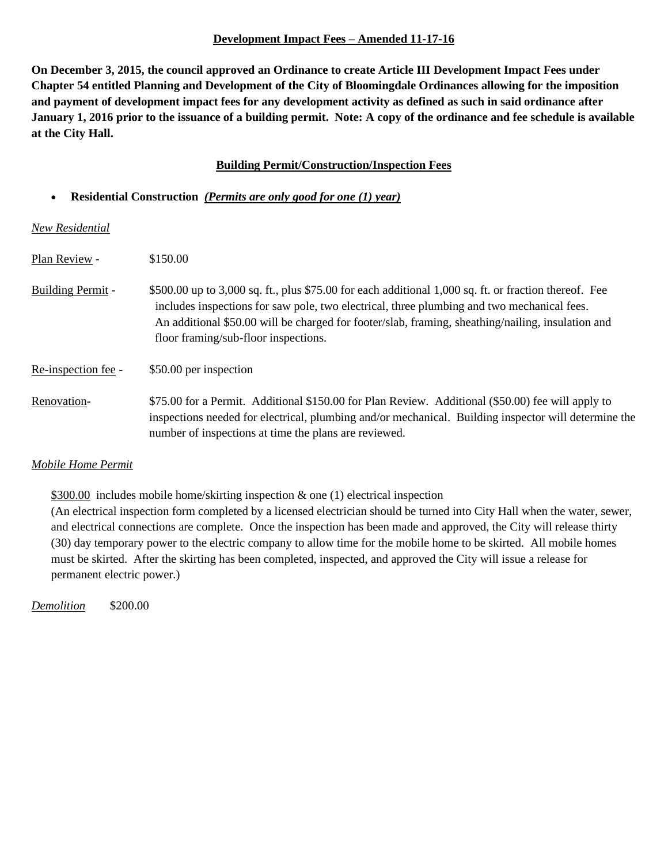#### **Development Impact Fees – Amended 11-17-16**

**On December 3, 2015, the council approved an Ordinance to create Article III Development Impact Fees under Chapter 54 entitled Planning and Development of the City of Bloomingdale Ordinances allowing for the imposition and payment of development impact fees for any development activity as defined as such in said ordinance after January 1, 2016 prior to the issuance of a building permit. Note: A copy of the ordinance and fee schedule is available at the City Hall.**

#### **Building Permit/Construction/Inspection Fees**

#### • **Residential Construction** *(Permits are only good for one (1) year)*

*New Residential*

| Plan Review -       | \$150.00                                                                                                                                                                                                                                                                                                                                         |
|---------------------|--------------------------------------------------------------------------------------------------------------------------------------------------------------------------------------------------------------------------------------------------------------------------------------------------------------------------------------------------|
| Building Permit -   | \$500.00 up to 3,000 sq. ft., plus \$75.00 for each additional 1,000 sq. ft. or fraction thereof. Fee<br>includes inspections for saw pole, two electrical, three plumbing and two mechanical fees.<br>An additional \$50.00 will be charged for footer/slab, framing, sheathing/nailing, insulation and<br>floor framing/sub-floor inspections. |
| Re-inspection fee - | \$50.00 per inspection                                                                                                                                                                                                                                                                                                                           |
| Renovation-         | \$75.00 for a Permit. Additional \$150.00 for Plan Review. Additional (\$50.00) fee will apply to<br>inspections needed for electrical, plumbing and/or mechanical. Building inspector will determine the<br>number of inspections at time the plans are reviewed.                                                                               |

#### *Mobile Home Permit*

\$300.00 includes mobile home/skirting inspection & one (1) electrical inspection

(An electrical inspection form completed by a licensed electrician should be turned into City Hall when the water, sewer, and electrical connections are complete. Once the inspection has been made and approved, the City will release thirty (30) day temporary power to the electric company to allow time for the mobile home to be skirted. All mobile homes must be skirted. After the skirting has been completed, inspected, and approved the City will issue a release for permanent electric power.)

*Demolition* \$200.00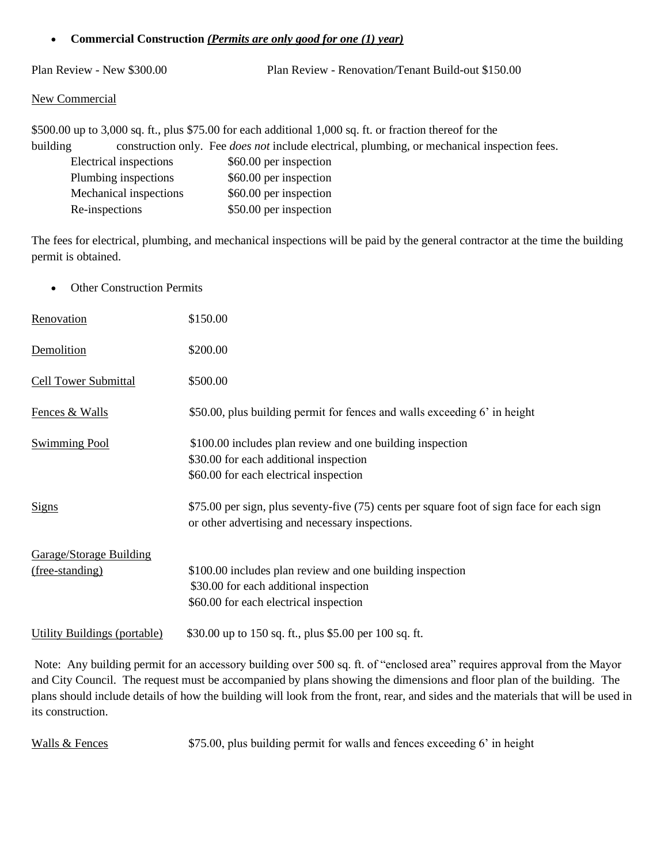#### • **Commercial Construction** *(Permits are only good for one (1) year)*

Plan Review - New \$300.00 Plan Review - Renovation/Tenant Build-out \$150.00

#### New Commercial

\$500.00 up to 3,000 sq. ft., plus \$75.00 for each additional 1,000 sq. ft. or fraction thereof for the building construction only. Fee *does not* include electrical, plumbing, or mechanical inspection fees. Electrical inspections \$60.00 per inspection Plumbing inspections \$60.00 per inspection Mechanical inspections \$60.00 per inspection Re-inspections \$50.00 per inspection

The fees for electrical, plumbing, and mechanical inspections will be paid by the general contractor at the time the building permit is obtained.

• Other Construction Permits

| Renovation                     | \$150.00                                                                                                                                      |
|--------------------------------|-----------------------------------------------------------------------------------------------------------------------------------------------|
| Demolition                     | \$200.00                                                                                                                                      |
| <b>Cell Tower Submittal</b>    | \$500.00                                                                                                                                      |
| Fences & Walls                 | \$50.00, plus building permit for fences and walls exceeding 6' in height                                                                     |
| <b>Swimming Pool</b>           | \$100.00 includes plan review and one building inspection<br>\$30.00 for each additional inspection<br>\$60.00 for each electrical inspection |
| <b>Signs</b>                   | \$75.00 per sign, plus seventy-five (75) cents per square foot of sign face for each sign<br>or other advertising and necessary inspections.  |
| <b>Garage/Storage Building</b> |                                                                                                                                               |
| (free-standing)                | \$100.00 includes plan review and one building inspection<br>\$30.00 for each additional inspection                                           |
|                                | \$60.00 for each electrical inspection                                                                                                        |
| Utility Buildings (portable)   | \$30.00 up to 150 sq. ft., plus \$5.00 per 100 sq. ft.                                                                                        |

Note: Any building permit for an accessory building over 500 sq. ft. of "enclosed area" requires approval from the Mayor and City Council. The request must be accompanied by plans showing the dimensions and floor plan of the building. The plans should include details of how the building will look from the front, rear, and sides and the materials that will be used in its construction.

Walls  $&$  Fences  $$75.00$ , plus building permit for walls and fences exceeding 6' in height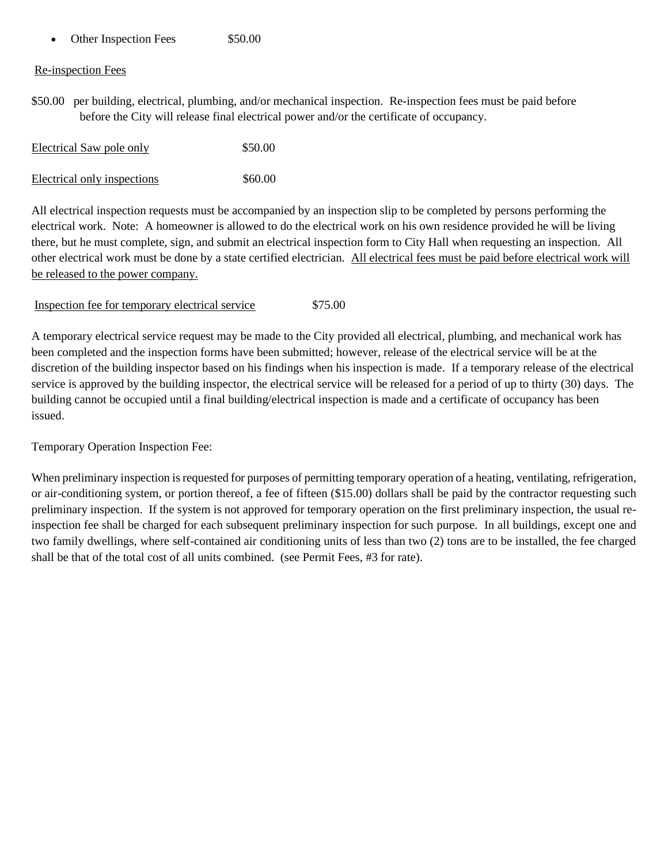• Other Inspection Fees \$50.00

#### Re-inspection Fees

\$50.00 per building, electrical, plumbing, and/or mechanical inspection. Re-inspection fees must be paid before before the City will release final electrical power and/or the certificate of occupancy.

| <b>Electrical Saw pole only</b> | \$50.00 |
|---------------------------------|---------|
| Electrical only inspections     | \$60.00 |

All electrical inspection requests must be accompanied by an inspection slip to be completed by persons performing the electrical work. Note: A homeowner is allowed to do the electrical work on his own residence provided he will be living there, but he must complete, sign, and submit an electrical inspection form to City Hall when requesting an inspection. All other electrical work must be done by a state certified electrician. All electrical fees must be paid before electrical work will be released to the power company.

Inspection fee for temporary electrical service \$75.00

A temporary electrical service request may be made to the City provided all electrical, plumbing, and mechanical work has been completed and the inspection forms have been submitted; however, release of the electrical service will be at the discretion of the building inspector based on his findings when his inspection is made. If a temporary release of the electrical service is approved by the building inspector, the electrical service will be released for a period of up to thirty (30) days. The building cannot be occupied until a final building/electrical inspection is made and a certificate of occupancy has been issued.

Temporary Operation Inspection Fee:

When preliminary inspection is requested for purposes of permitting temporary operation of a heating, ventilating, refrigeration, or air-conditioning system, or portion thereof, a fee of fifteen (\$15.00) dollars shall be paid by the contractor requesting such preliminary inspection. If the system is not approved for temporary operation on the first preliminary inspection, the usual reinspection fee shall be charged for each subsequent preliminary inspection for such purpose. In all buildings, except one and two family dwellings, where self-contained air conditioning units of less than two (2) tons are to be installed, the fee charged shall be that of the total cost of all units combined. (see Permit Fees, #3 for rate).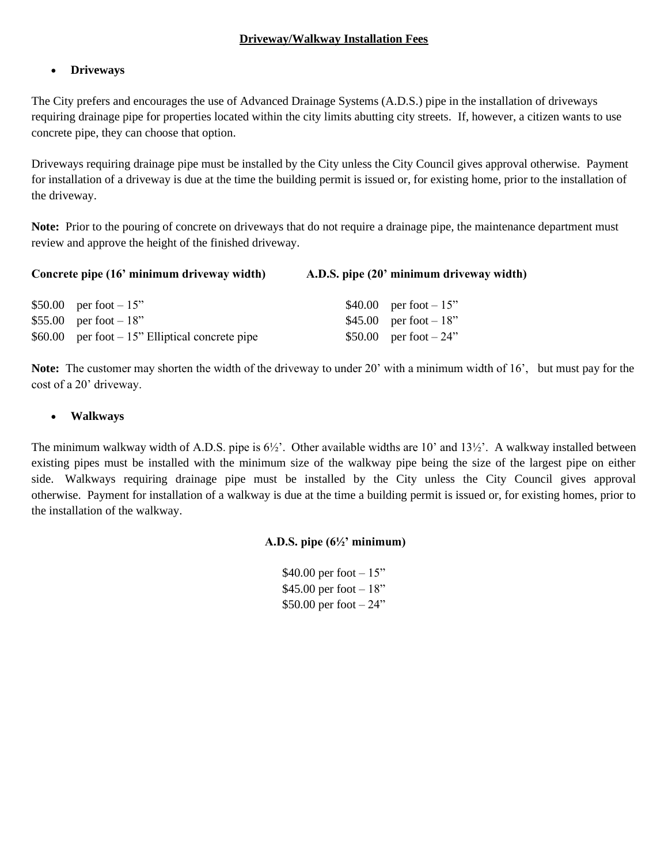#### **Driveway/Walkway Installation Fees**

#### • **Driveways**

The City prefers and encourages the use of Advanced Drainage Systems (A.D.S.) pipe in the installation of driveways requiring drainage pipe for properties located within the city limits abutting city streets. If, however, a citizen wants to use concrete pipe, they can choose that option.

Driveways requiring drainage pipe must be installed by the City unless the City Council gives approval otherwise. Payment for installation of a driveway is due at the time the building permit is issued or, for existing home, prior to the installation of the driveway.

**Note:** Prior to the pouring of concrete on driveways that do not require a drainage pipe, the maintenance department must review and approve the height of the finished driveway.

| Concrete pipe (16' minimum driveway width) | A.D.S. pipe (20' minimum driveway width) |
|--------------------------------------------|------------------------------------------|
|                                            |                                          |

| \$50.00 per foot $-15$ "                          | \$40.00 per foot $-15$ " |
|---------------------------------------------------|--------------------------|
| \$55.00 per foot $-18$ "                          | \$45.00 per foot $-18$ " |
| \$60.00 per foot $-15$ " Elliptical concrete pipe | \$50.00 per foot $-24$ " |

**Note:** The customer may shorten the width of the driveway to under 20' with a minimum width of 16', but must pay for the cost of a 20' driveway.

#### • **Walkways**

The minimum walkway width of A.D.S. pipe is  $6\frac{1}{2}$ . Other available widths are 10' and 13½'. A walkway installed between existing pipes must be installed with the minimum size of the walkway pipe being the size of the largest pipe on either side. Walkways requiring drainage pipe must be installed by the City unless the City Council gives approval otherwise. Payment for installation of a walkway is due at the time a building permit is issued or, for existing homes, prior to the installation of the walkway.

#### **A.D.S. pipe (6½' minimum)**

\$40.00 per foot  $-15$ " \$45.00 per foot  $-18"$ \$50.00 per foot – 24"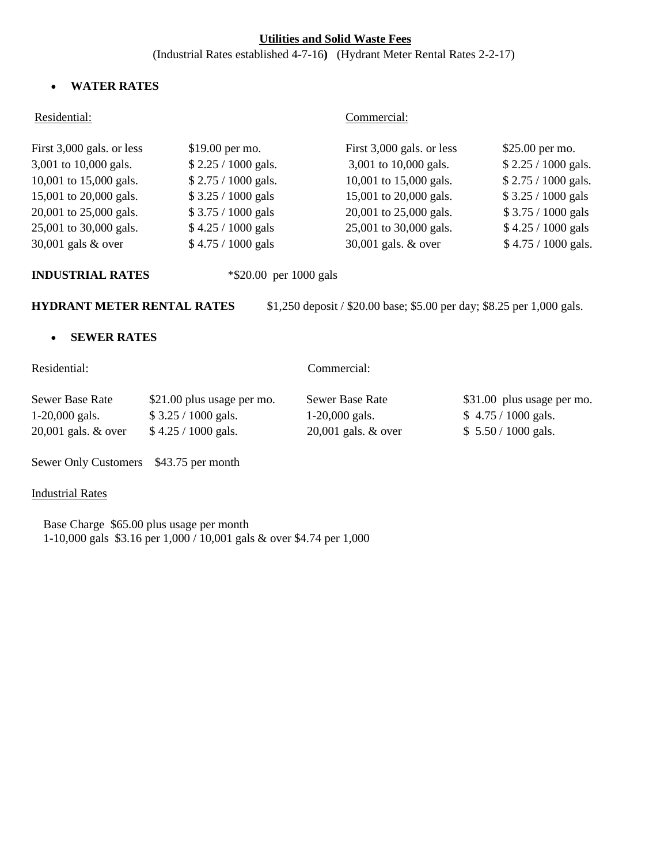#### **Utilities and Solid Waste Fees**

(Industrial Rates established 4-7-16**)** (Hydrant Meter Rental Rates 2-2-17)

#### • **WATER RATES**

#### Residential: Commercial:

| First 3,000 gals. or less | $$19.00$ per mo.     | First 3,000 gals. or less | $$25.00$ per mo.     |
|---------------------------|----------------------|---------------------------|----------------------|
| 3,001 to 10,000 gals.     | \$2.25 / 1000 gals.  | 3,001 to 10,000 gals.     | \$2.25 / 1000 gals.  |
| 10,001 to 15,000 gals.    | $$2.75 / 1000$ gals. | 10,001 to 15,000 gals.    | $$2.75 / 1000$ gals. |
| 15,001 to 20,000 gals.    | $$3.25 / 1000$ gals  | 15,001 to 20,000 gals.    | \$3.25 / 1000 gals   |
| 20,001 to 25,000 gals.    | $$3.75 / 1000$ gals  | 20,001 to 25,000 gals.    | $$3.75 / 1000$ gals  |
| 25,001 to 30,000 gals.    | \$4.25 / 1000 gals   | 25,001 to 30,000 gals.    | $$4.25 / 1000$ gals  |
| 30,001 gals $&$ over      | \$4.75 / 1000 gals   | 30,001 gals. & over       | \$4.75 / 1000 gals.  |

**INDUSTRIAL RATES** \*\$20.00 per 1000 gals

**HYDRANT METER RENTAL RATES** \$1,250 deposit / \$20.00 base; \$5.00 per day; \$8.25 per 1,000 gals.

#### • **SEWER RATES**

Residential: Commercial:

| Sewer Base Rate       | \$21.00 plus usage per mo. | Sewer Base Rate       | \$31.00 plus usage per mo. |
|-----------------------|----------------------------|-----------------------|----------------------------|
| $1-20,000$ gals.      | $$3.25/1000$ gals.         | $1-20,000$ gals.      | $$4.75/1000$ gals.         |
| $20,001$ gals. & over | $$4.25/1000$ gals.         | 20,001 gals. $& over$ | $$5.50 / 1000$ gals.       |

Sewer Only Customers \$43.75 per month

# Industrial Rates

 Base Charge \$65.00 plus usage per month 1-10,000 gals \$3.16 per 1,000 / 10,001 gals & over \$4.74 per 1,000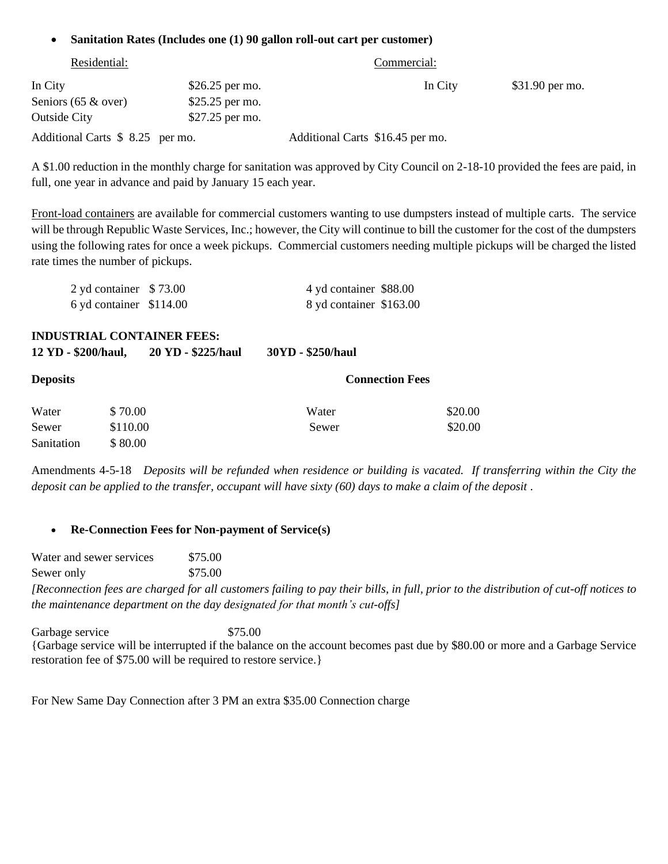#### • **Sanitation Rates (Includes one (1) 90 gallon roll-out cart per customer)**

| Residential:                     |                  | Commercial:                      |                 |
|----------------------------------|------------------|----------------------------------|-----------------|
| In City                          | $$26.25$ per mo. | In City                          | \$31.90 per mo. |
| Seniors $(65 \& over)$           | $$25.25$ per mo. |                                  |                 |
| <b>Outside City</b>              | $$27.25$ per mo. |                                  |                 |
| Additional Carts \$ 8.25 per mo. |                  | Additional Carts \$16.45 per mo. |                 |

A \$1.00 reduction in the monthly charge for sanitation was approved by City Council on 2-18-10 provided the fees are paid, in full, one year in advance and paid by January 15 each year.

Front-load containers are available for commercial customers wanting to use dumpsters instead of multiple carts. The service will be through Republic Waste Services, Inc.; however, the City will continue to bill the customer for the cost of the dumpsters using the following rates for once a week pickups. Commercial customers needing multiple pickups will be charged the listed rate times the number of pickups.

| 2 yd container \$73.00  | 4 yd container \$88.00  |  |
|-------------------------|-------------------------|--|
| 6 yd container \$114.00 | 8 yd container \$163.00 |  |

**INDUSTRIAL CONTAINER FEES:**

| 12 YD - \$200/haul, | 20 YD - \$225/haul | 30YD - \$250/haul |
|---------------------|--------------------|-------------------|
|                     |                    |                   |

| <b>Deposits</b> |          | <b>Connection Fees</b> |         |
|-----------------|----------|------------------------|---------|
| Water           | \$70.00  | Water                  | \$20.00 |
| Sewer           | \$110.00 | Sewer                  | \$20.00 |
| Sanitation      | \$80.00  |                        |         |

Amendments 4-5-18 *Deposits will be refunded when residence or building is vacated. If transferring within the City the deposit can be applied to the transfer, occupant will have sixty (60) days to make a claim of the deposit .* 

#### • **Re-Connection Fees for Non-payment of Service(s)**

Water and sewer services \$75.00 Sewer only \$75.00 *[Reconnection fees are charged for all customers failing to pay their bills, in full, prior to the distribution of cut-off notices to the maintenance department on the day designated for that month's cut-offs]*

Garbage service \$75.00 {Garbage service will be interrupted if the balance on the account becomes past due by \$80.00 or more and a Garbage Service restoration fee of \$75.00 will be required to restore service.}

For New Same Day Connection after 3 PM an extra \$35.00 Connection charge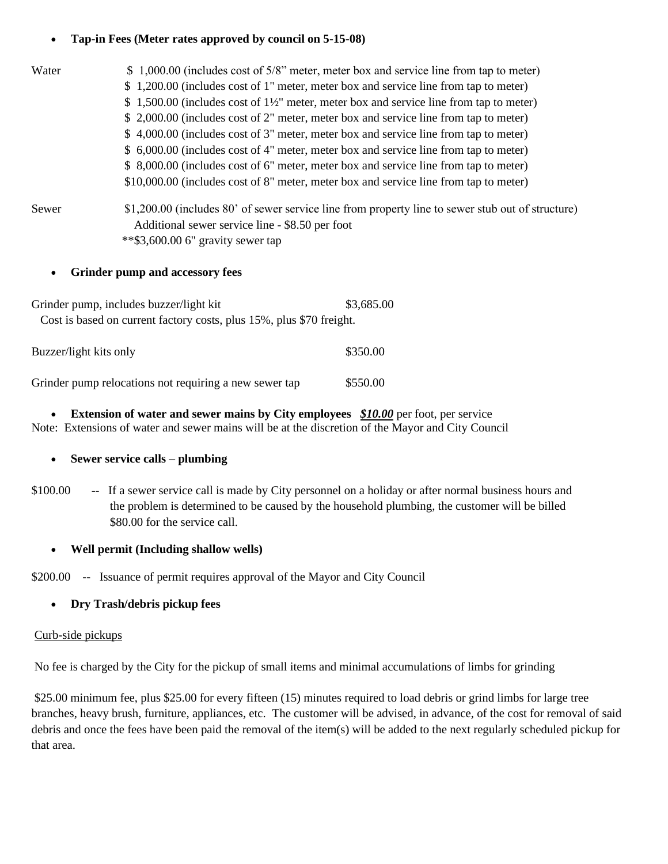#### • **Tap-in Fees (Meter rates approved by council on 5-15-08)**

| Water | \$1,000.00 (includes cost of 5/8" meter, meter box and service line from tap to meter)              |
|-------|-----------------------------------------------------------------------------------------------------|
|       | \$1,200.00 (includes cost of 1" meter, meter box and service line from tap to meter)                |
|       | \$ 1,500.00 (includes cost of $1\frac{1}{2}$ " meter, meter box and service line from tap to meter) |
|       | \$ 2,000.00 (includes cost of 2" meter, meter box and service line from tap to meter)               |
|       | \$4,000.00 (includes cost of 3" meter, meter box and service line from tap to meter)                |
|       | \$ 6,000.00 (includes cost of 4" meter, meter box and service line from tap to meter)               |
|       | \$ 8,000.00 (includes cost of 6" meter, meter box and service line from tap to meter)               |
|       | \$10,000.00 (includes cost of 8" meter, meter box and service line from tap to meter)               |
| Sewer | \$1,200.00 (includes 80' of sewer service line from property line to sewer stub out of structure)   |
|       | Additional sewer service line - \$8.50 per foot                                                     |
|       | $*$ \$3,600.00 6" gravity sewer tap                                                                 |

#### • **Grinder pump and accessory fees**

| Grinder pump, includes buzzer/light kit                              | \$3,685.00 |
|----------------------------------------------------------------------|------------|
| Cost is based on current factory costs, plus 15%, plus \$70 freight. |            |
| Buzzer/light kits only                                               | \$350.00   |

Grinder pump relocations not requiring a new sewer tap \$550.00

# • **Extension of water and sewer mains by City employees** *\$10.00* per foot, per service

Note: Extensions of water and sewer mains will be at the discretion of the Mayor and City Council

#### • **Sewer service calls – plumbing**

\$100.00-- If a sewer service call is made by City personnel on a holiday or after normal business hours and the problem is determined to be caused by the household plumbing, the customer will be billed \$80.00 for the service call.

#### • **Well permit (Including shallow wells)**

\$200.00 -- Issuance of permit requires approval of the Mayor and City Council

#### • **Dry Trash/debris pickup fees**

#### Curb-side pickups

No fee is charged by the City for the pickup of small items and minimal accumulations of limbs for grinding

\$25.00 minimum fee, plus \$25.00 for every fifteen (15) minutes required to load debris or grind limbs for large tree branches, heavy brush, furniture, appliances, etc. The customer will be advised, in advance, of the cost for removal of said debris and once the fees have been paid the removal of the item(s) will be added to the next regularly scheduled pickup for that area.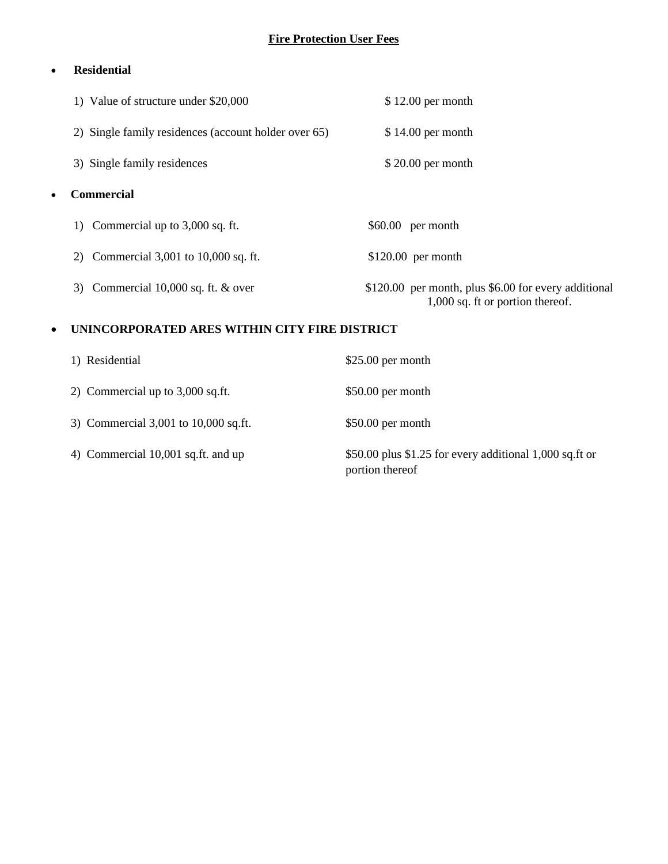# **Fire Protection User Fees**

# • **Residential**

| 1) Value of structure under \$20,000                 | $$12.00$ per month                                                                       |
|------------------------------------------------------|------------------------------------------------------------------------------------------|
| 2) Single family residences (account holder over 65) | $$14.00$ per month                                                                       |
| 3) Single family residences                          | $$20.00$ per month                                                                       |
| <b>Commercial</b><br>٠                               |                                                                                          |
| 1) Commercial up to $3,000$ sq. ft.                  | $$60.00$ per month                                                                       |
| 2) Commercial $3,001$ to $10,000$ sq. ft.            | $$120.00$ per month                                                                      |
| 3) Commercial $10,000$ sq. ft. $&$ over              | \$120.00 per month, plus \$6.00 for every additional<br>1,000 sq. ft or portion thereof. |
| UNINCORPORATED ARES WITHIN CITY FIRE DISTRICT<br>٠   |                                                                                          |

| 1) Residential                       | $$25.00$ per month                                                         |
|--------------------------------------|----------------------------------------------------------------------------|
| 2) Commercial up to $3,000$ sq.ft.   | $$50.00$ per month                                                         |
| 3) Commercial 3,001 to 10,000 sq.ft. | $$50.00$ per month                                                         |
| 4) Commercial 10,001 sq.ft. and up   | \$50.00 plus \$1.25 for every additional 1,000 sq.ft or<br>portion thereof |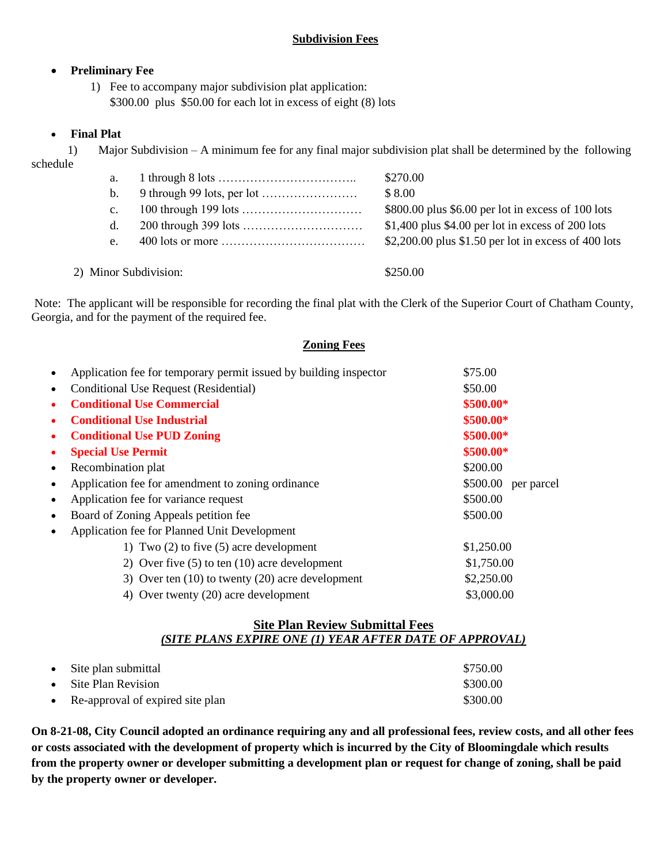# • **Preliminary Fee**

1) Fee to accompany major subdivision plat application: \$300.00 plus \$50.00 for each lot in excess of eight (8) lots

# • **Final Plat**

1) Major Subdivision – A minimum fee for any final major subdivision plat shall be determined by the following

schedule

| ocheud |                       |                                    |                                                       |
|--------|-----------------------|------------------------------------|-------------------------------------------------------|
|        | a.                    |                                    | \$270.00                                              |
|        | b.                    | 9 through 99 lots, per lot $\dots$ | \$8.00                                                |
|        | $\mathbf{c}$ .        |                                    | \$800.00 plus \$6.00 per lot in excess of 100 lots    |
|        | d.                    |                                    | $$1,400$ plus $$4.00$ per lot in excess of 200 lots   |
|        | e.                    |                                    | $$2,200.00$ plus \$1.50 per lot in excess of 400 lots |
|        |                       |                                    |                                                       |
|        | 2) Minor Subdivision: |                                    | \$250.00                                              |

Note: The applicant will be responsible for recording the final plat with the Clerk of the Superior Court of Chatham County, Georgia, and for the payment of the required fee.

### **Zoning Fees**

| $\bullet$ | Application fee for temporary permit issued by building inspector | \$75.00                |
|-----------|-------------------------------------------------------------------|------------------------|
| $\bullet$ | Conditional Use Request (Residential)                             | \$50.00                |
| ٠         | <b>Conditional Use Commercial</b>                                 | \$500.00*              |
| ٠         | <b>Conditional Use Industrial</b>                                 | \$500.00*              |
| $\bullet$ | <b>Conditional Use PUD Zoning</b>                                 | \$500.00*              |
| ٠         | <b>Special Use Permit</b>                                         | \$500.00*              |
| $\bullet$ | Recombination plat                                                | \$200.00               |
| $\bullet$ | Application fee for amendment to zoning ordinance                 | \$500.00<br>per parcel |
| $\bullet$ | Application fee for variance request                              | \$500.00               |
| $\bullet$ | Board of Zoning Appeals petition fee                              | \$500.00               |
| $\bullet$ | Application fee for Planned Unit Development                      |                        |
|           | 1) Two $(2)$ to five $(5)$ acre development                       | \$1,250.00             |
|           | 2) Over five $(5)$ to ten $(10)$ acre development                 | \$1,750.00             |
|           | 3) Over ten $(10)$ to twenty $(20)$ acre development              | \$2,250.00             |
|           | 4) Over twenty (20) acre development                              | \$3,000.00             |

### **Site Plan Review Submittal Fees** *(SITE PLANS EXPIRE ONE (1) YEAR AFTER DATE OF APPROVAL)*

| • Site plan submittal              | \$750.00 |
|------------------------------------|----------|
| • Site Plan Revision               | \$300.00 |
| • Re-approval of expired site plan | \$300.00 |

**On 8-21-08, City Council adopted an ordinance requiring any and all professional fees, review costs, and all other fees or costs associated with the development of property which is incurred by the City of Bloomingdale which results from the property owner or developer submitting a development plan or request for change of zoning, shall be paid by the property owner or developer.**